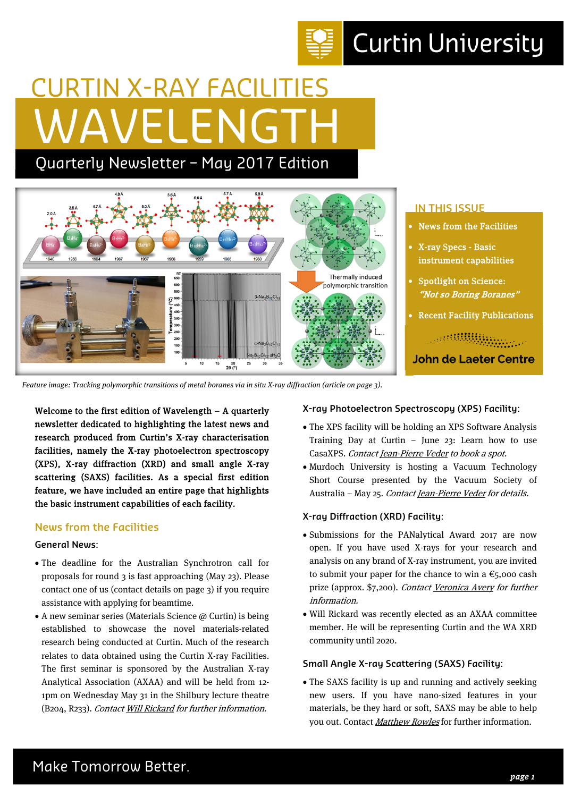# **Curtin University**

# WAVELENGTH CURTIN X-RAY FACILITIES

Quarterly Newsletter – May 2017 Edition



Feature image: Tracking polymorphic transitions of metal boranes via in situ X-ray diffraction (article on page 3).

Welcome to the first edition of Wavelength – A quarterly newsletter dedicated to highlighting the latest news and research produced from Curtin's X-ray characterisation facilities, namely the X-ray photoelectron spectroscopy (XPS), X-ray diffraction (XRD) and small angle X-ray scattering (SAXS) facilities. As a special first edition feature, we have included an entire page that highlights the basic instrument capabilities of each facility.

## **News from the Facilities**

### **General News:**

- The deadline for the Australian Synchrotron call for proposals for round 3 is fast approaching (May 23). Please contact one of us (contact details on page 3) if you require assistance with applying for beamtime.
- $\bullet$  A new seminar series (Materials Science  $\omega$  Curtin) is being established to showcase the novel materials-related research being conducted at Curtin. Much of the research relates to data obtained using the Curtin X-ray Facilities. The first seminar is sponsored by the Australian X-ray Analytical Association (AXAA) and will be held from 12- 1pm on Wednesday May 31 in the Shilbury lecture theatre (B204, R233). Contact Will Rickard for further information.

### **X-ray Photoelectron Spectroscopy (XPS) Facility:**

- The XPS facility will be holding an XPS Software Analysis Training Day at Curtin  $-$  June 23: Learn how to use CasaXPS. Contact Jean-Pierre Veder to book a spot.
- Murdoch University is hosting a Vacuum Technology Short Course presented by the Vacuum Society of Australia – May 25. Contact Jean-Pierre Veder for details.

## **X-ray Diffraction (XRD) Facility:**

- Submissions for the PANalytical Award 2017 are now open. If you have used X-rays for your research and analysis on any brand of X-ray instrument, you are invited to submit your paper for the chance to win a  $\epsilon$ <sub>5</sub>,000 cash prize (approx. \$7,200). Contact Veronica Avery for further information.
- Will Rickard was recently elected as an AXAA committee member. He will be representing Curtin and the WA XRD community until 2020.

### **Small Angle X-ray Scattering (SAXS) Facility:**

 The SAXS facility is up and running and actively seeking new users. If you have nano-sized features in your materials, be they hard or soft, SAXS may be able to help you out. Contact Matthew Rowles for further information.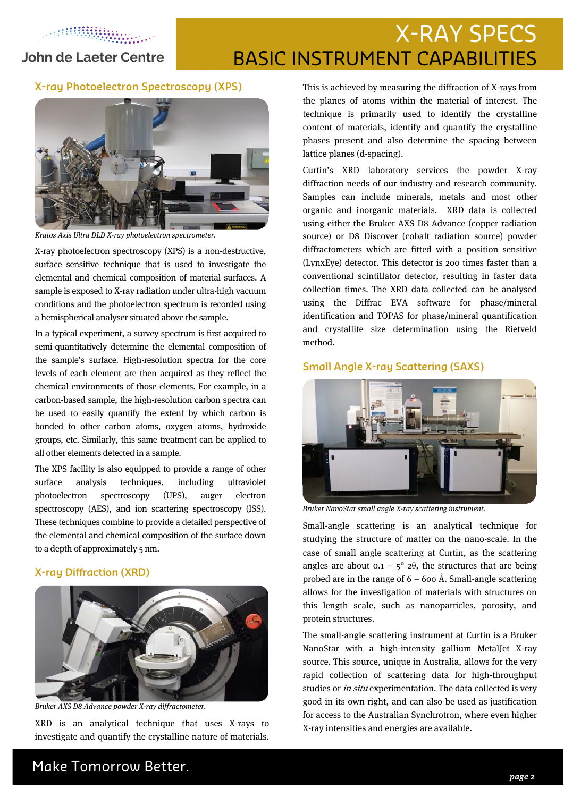ARTHUR AND A

### **John de Laeter Centre**

## X-RAY SPECS BASIC INSTRUMENT CAPABILITIES

#### **X-ray Photoelectron Spectroscopy (XPS)**



Kratos Axis Ultra DLD X-ray photoelectron spectrometer.

X-ray photoelectron spectroscopy (XPS) is a non-destructive, surface sensitive technique that is used to investigate the elemental and chemical composition of material surfaces. A sample is exposed to X-ray radiation under ultra-high vacuum conditions and the photoelectron spectrum is recorded using a hemispherical analyser situated above the sample.

In a typical experiment, a survey spectrum is first acquired to semi-quantitatively determine the elemental composition of the sample's surface. High-resolution spectra for the core levels of each element are then acquired as they reflect the chemical environments of those elements. For example, in a carbon-based sample, the high-resolution carbon spectra can be used to easily quantify the extent by which carbon is bonded to other carbon atoms, oxygen atoms, hydroxide groups, etc. Similarly, this same treatment can be applied to all other elements detected in a sample.

The XPS facility is also equipped to provide a range of other surface analysis techniques, including ultraviolet photoelectron spectroscopy (UPS), auger electron spectroscopy (AES), and ion scattering spectroscopy (ISS). These techniques combine to provide a detailed perspective of the elemental and chemical composition of the surface down to a depth of approximately 5 nm.

#### **X-ray Diffraction (XRD)**



Bruker AXS D8 Advance powder X-ray diffractometer.

XRD is an analytical technique that uses X-rays to investigate and quantify the crystalline nature of materials. This is achieved by measuring the diffraction of X-rays from the planes of atoms within the material of interest. The technique is primarily used to identify the crystalline content of materials, identify and quantify the crystalline phases present and also determine the spacing between lattice planes (d-spacing).

Curtin's XRD laboratory services the powder X-ray diffraction needs of our industry and research community. Samples can include minerals, metals and most other organic and inorganic materials. XRD data is collected using either the Bruker AXS D8 Advance (copper radiation source) or D8 Discover (cobalt radiation source) powder diffractometers which are fitted with a position sensitive (LynxEye) detector. This detector is 200 times faster than a conventional scintillator detector, resulting in faster data collection times. The XRD data collected can be analysed using the Diffrac EVA software for phase/mineral identification and TOPAS for phase/mineral quantification and crystallite size determination using the Rietveld method.

#### **Small Angle X-ray Scattering (SAXS)**



Bruker NanoStar small angle X-ray scattering instrument.

Small-angle scattering is an analytical technique for studying the structure of matter on the nano-scale. In the case of small angle scattering at Curtin, as the scattering angles are about  $0.1 - 5^{\circ} 2\theta$ , the structures that are being probed are in the range of  $6 - 600$  Å. Small-angle scattering allows for the investigation of materials with structures on this length scale, such as nanoparticles, porosity, and protein structures.

The small-angle scattering instrument at Curtin is a Bruker NanoStar with a high-intensity gallium MetalJet X-ray source. This source, unique in Australia, allows for the very rapid collection of scattering data for high-throughput studies or *in situ* experimentation. The data collected is very good in its own right, and can also be used as justification for access to the Australian Synchrotron, where even higher X-ray intensities and energies are available.